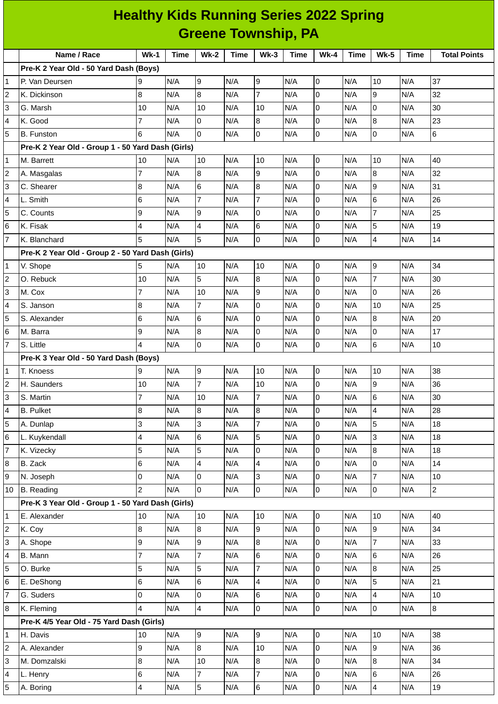|                         | <b>Healthy Kids Running Series 2022 Spring</b>    |                |             |                 |             |                |             |                     |             |                         |             |                     |
|-------------------------|---------------------------------------------------|----------------|-------------|-----------------|-------------|----------------|-------------|---------------------|-------------|-------------------------|-------------|---------------------|
|                         | <b>Greene Township, PA</b>                        |                |             |                 |             |                |             |                     |             |                         |             |                     |
|                         | Name / Race                                       | $Wk-1$         | <b>Time</b> | <b>Wk-2</b>     | <b>Time</b> | $Wk-3$         | <b>Time</b> | $Wk-4$              | <b>Time</b> | <b>Wk-5</b>             | <b>Time</b> | <b>Total Points</b> |
|                         | Pre-K 2 Year Old - 50 Yard Dash (Boys)            |                |             |                 |             |                |             |                     |             |                         |             |                     |
| 1                       | P. Van Deursen                                    | 9              | N/A         | 9               | N/A         | 9              | N/A         | 0                   | N/A         | 10                      | N/A         | 37                  |
| 2                       | K. Dickinson                                      | 8              | N/A         | 8               | N/A         | $\overline{7}$ | N/A         | 0                   | N/A         | 9                       | N/A         | 32                  |
| 3                       | G. Marsh                                          | 10             | N/A         | 10              | N/A         | 10             | N/A         | 0                   | N/A         | 0                       | N/A         | 30                  |
| 4                       | K. Good                                           | 7              | N/A         | 0               | N/A         | 8              | N/A         | 0                   | N/A         | 8                       | N/A         | 23                  |
| 5                       | <b>B.</b> Funston                                 | 6              | N/A         | $\overline{0}$  | N/A         | 0              | N/A         | 0                   | N/A         | 0                       | N/A         | 6                   |
|                         | Pre-K 2 Year Old - Group 1 - 50 Yard Dash (Girls) |                |             |                 |             |                |             |                     |             |                         |             |                     |
| 1                       | M. Barrett                                        | 10             | N/A         | 10              | N/A         | 10             | N/A         | 0                   | N/A         | 10                      | N/A         | 40                  |
| 2                       | A. Masgalas                                       | $\overline{7}$ | N/A         | 8               | N/A         | 9              | N/A         | 0                   | N/A         | 8                       | N/A         | 32                  |
| 3                       | C. Shearer                                        | 8              | N/A         | 6               | N/A         | 8              | N/A         | 0                   | N/A         | 9                       | N/A         | 31                  |
| 4                       | L. Smith                                          | 6              | N/A         | $\overline{7}$  | N/A         | $\overline{7}$ | N/A         | 0                   | N/A         | 6                       | N/A         | 26                  |
| 5                       | C. Counts                                         | 9              | N/A         | 9               | N/A         | 0              | N/A         | 0                   | N/A         | $\overline{7}$          | N/A         | 25                  |
| 6                       | K. Fisak                                          | 4              | N/A         | 4               | N/A         | 6              | N/A         | 0                   | N/A         | 5                       | N/A         | 19                  |
| 7                       | K. Blanchard                                      | 5              | N/A         | 5               | N/A         | 0              | N/A         | 0                   | N/A         | 4                       | N/A         | 14                  |
|                         | Pre-K 2 Year Old - Group 2 - 50 Yard Dash (Girls) |                |             |                 |             |                |             |                     |             |                         |             |                     |
| 1                       | V. Shope                                          | 5              | N/A         | 10              | N/A         | 10             | N/A         | 0                   | N/A         | 9                       | N/A         | 34                  |
| 2                       | O. Rebuck                                         | 10             | N/A         | 5               | N/A         | $\overline{8}$ | N/A         | 0                   | N/A         | $\overline{7}$          | N/A         | 30                  |
| 3                       | M. Cox                                            | $\overline{7}$ | N/A         | 10              | N/A         | 9              | N/A         | 0                   | N/A         | 0                       | N/A         | 26                  |
| 4                       | S. Janson                                         | 8              | N/A         | $\overline{7}$  | N/A         | $\overline{0}$ | N/A         | 0                   | N/A         | 10                      | N/A         | 25                  |
| 5                       | S. Alexander                                      | 6              | N/A         | $6\phantom{.}6$ | N/A         | 0              | N/A         | 0                   | N/A         | 8                       | N/A         | 20                  |
| 6                       | M. Barra                                          | 9              | N/A         | 8               | N/A         | 0              | N/A         | 0                   | N/A         | 0                       | N/A         | 17                  |
| $\overline{7}$          | S. Little                                         | 4              | N/A         | $\overline{0}$  | N/A         | $\overline{0}$ | N/A         | 0                   | N/A         | 6                       | N/A         | 10                  |
|                         | Pre-K 3 Year Old - 50 Yard Dash (Boys)            |                |             |                 |             |                |             |                     |             |                         |             |                     |
| 1                       | T. Knoess                                         | 9              | N/A         | 9               | N/A         | 10             | N/A         | 0                   | N/A         | 10                      | N/A         | 38                  |
| 2                       | H. Saunders                                       | 10             | N/A         | $\overline{7}$  | N/A         | 10             | N/A         | 0                   | N/A         | 9                       | N/A         | 36                  |
| 3                       | S. Martin                                         | 7              | N/A         | 10              | N/A         | $\overline{7}$ | N/A         | 0                   | N/A         | 6                       | N/A         | 30                  |
| 4                       | <b>B.</b> Pulket                                  | 8              | N/A         | 8               | N/A         | $8\,$          | N/A         | 0                   | N/A         | 4                       | N/A         | 28                  |
| 5                       | A. Dunlap                                         | 3              | N/A         | 3               | N/A         | $\overline{7}$ | N/A         | 0                   | N/A         | 5                       | N/A         | 18                  |
| 6                       | L. Kuykendall                                     | 4              | N/A         | 6               | N/A         | 5              | N/A         | 0                   | N/A         | 3                       | N/A         | 18                  |
| $\overline{7}$          | K. Vizecky                                        | 5              | N/A         | 5               | N/A         | $\overline{0}$ | N/A         | 0                   | N/A         | 8                       | N/A         | 18                  |
| 8                       | B. Zack                                           | 6              | N/A         | 4               | N/A         | $\overline{4}$ | N/A         | 0                   | N/A         | 0                       | N/A         | 14                  |
| 9                       | N. Joseph                                         | 0              | N/A         | $\overline{0}$  | N/A         | 3              | N/A         | 0                   | N/A         | $\overline{7}$          | N/A         | $10\,$              |
| 10                      | <b>B.</b> Reading                                 | $\overline{2}$ | N/A         | $\overline{0}$  | N/A         | $\overline{0}$ | N/A         | $\mathsf 0$         | N/A         | 0                       | N/A         | $\overline{2}$      |
|                         | Pre-K 3 Year Old - Group 1 - 50 Yard Dash (Girls) |                |             |                 |             |                |             |                     |             |                         |             |                     |
| 1                       | E. Alexander                                      | 10             | N/A         | 10              | N/A         | 10             | N/A         | 0                   | N/A         | 10                      | N/A         | 40                  |
| $\overline{\mathbf{c}}$ | K. Coy                                            | 8              | N/A         | $8\,$           | N/A         | 9              | N/A         | $\mathsf 0$         | N/A         | 9                       | N/A         | 34                  |
| 3                       | A. Shope                                          | 9              | N/A         | $\overline{9}$  | N/A         | $8\,$          | N/A         | 0                   | N/A         | $\overline{7}$          | N/A         | 33                  |
| 4                       | B. Mann                                           | $\overline{7}$ | N/A         | $\overline{7}$  | N/A         | $6\phantom{a}$ | N/A         | 0                   | N/A         | 6                       | N/A         | 26                  |
| 5                       | O. Burke                                          | 5              | N/A         | 5               | N/A         | $\overline{7}$ | N/A         | 0                   | N/A         | 8                       | N/A         | 25                  |
| 6                       | E. DeShong                                        | 6              | N/A         | 6               | N/A         | $\overline{4}$ | N/A         | 0                   | N/A         | 5                       | N/A         | 21                  |
| 7                       | G. Suders                                         | 0              | N/A         | $\overline{0}$  | N/A         | $6\phantom{.}$ | N/A         | 0                   | N/A         | $\overline{\mathbf{4}}$ | N/A         | 10                  |
| 8                       | K. Fleming                                        | 4              | N/A         | 4               | N/A         | $\overline{0}$ | N/A         | $\mathsf{O}\xspace$ | N/A         | 0                       | N/A         | 8                   |
|                         | Pre-K 4/5 Year Old - 75 Yard Dash (Girls)         |                |             |                 |             |                |             |                     |             |                         |             |                     |
| 1                       | H. Davis                                          | 10             | N/A         | 9               | N/A         | 9              | N/A         | $\mathsf 0$         | N/A         | 10                      | N/A         | 38                  |
| $\overline{\mathbf{c}}$ | A. Alexander                                      | 9              | N/A         | $\bf{8}$        | N/A         | 10             | N/A         | 0                   | N/A         | 9                       | N/A         | 36                  |
| 3                       | M. Domzalski                                      | 8              | N/A         | 10              | N/A         | $8\,$          | N/A         | 0                   | N/A         | 8                       | N/A         | 34                  |
| 4                       | L. Henry                                          | 6              | N/A         | $\overline{7}$  | N/A         | $\overline{7}$ | N/A         | 0                   | N/A         | 6                       | N/A         | 26                  |
| 5                       | A. Boring                                         | 4              | N/A         | 5               | N/A         | $6\phantom{a}$ | N/A         | 0                   | N/A         | 4                       | N/A         | $19\,$              |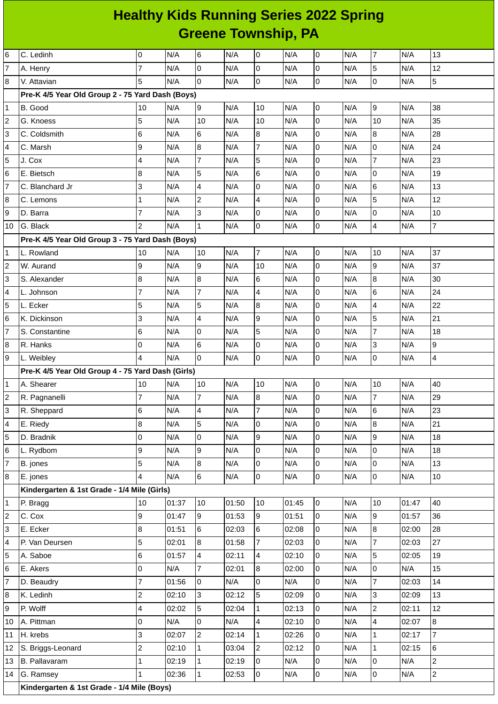## **Healthy Kids Running Series 2022 Spring Greene Township, PA**

| 6              | C. Ledinh                                         | 0              | N/A   | 6                       | N/A   | O              | N/A   | $\overline{0}$ | N/A | $\overline{7}$  | N/A   | 13             |
|----------------|---------------------------------------------------|----------------|-------|-------------------------|-------|----------------|-------|----------------|-----|-----------------|-------|----------------|
| 7              | A. Henry                                          | $\overline{7}$ | N/A   | $\mathbf 0$             | N/A   | 0              | N/A   | $\overline{0}$ | N/A | 5               | N/A   | 12             |
| 8              | V. Attavian                                       | 5              | N/A   | 0                       | N/A   | $\overline{0}$ | N/A   | $\overline{0}$ | N/A | $\overline{0}$  | N/A   | 5              |
|                | Pre-K 4/5 Year Old Group 2 - 75 Yard Dash (Boys)  |                |       |                         |       |                |       |                |     |                 |       |                |
| $\mathbf{1}$   | B. Good                                           | 10             | N/A   | 9                       | N/A   | 10             | N/A   | $\mathsf 0$    | N/A | $\overline{9}$  | N/A   | 38             |
| $\overline{c}$ | G. Knoess                                         | 5              | N/A   | 10                      | N/A   | 10             | N/A   | $\overline{0}$ | N/A | 10              | N/A   | 35             |
| 3              | C. Coldsmith                                      | 6              | N/A   | 6                       | N/A   | 8              | N/A   | $\mathsf 0$    | N/A | 8               | N/A   | 28             |
| 4              | C. Marsh                                          | 9              | N/A   | 8                       | N/A   | 7              | N/A   | $\mathsf 0$    | N/A | 0               | N/A   | 24             |
| 5              | J. Cox                                            | 4              | N/A   | $\overline{7}$          | N/A   | 5              | N/A   | 0              | N/A | $\overline{7}$  | N/A   | 23             |
| 6              | E. Bietsch                                        | $\bf 8$        | N/A   | 5                       | N/A   | $6\phantom{a}$ | N/A   | $\mathsf 0$    | N/A | $\overline{0}$  | N/A   | 19             |
| $\overline{7}$ | C. Blanchard Jr                                   | 3              | N/A   | 4                       | N/A   | $\pmb{0}$      | N/A   | $\mathsf 0$    | N/A | 6               | N/A   | 13             |
| 8              | C. Lemons                                         | $\mathbf{1}$   | N/A   | $\overline{c}$          | N/A   | $\overline{4}$ | N/A   | $\mathsf 0$    | N/A | 5               | N/A   | 12             |
| 9              | D. Barra                                          | $\overline{7}$ | N/A   | 3                       | N/A   | 0              | N/A   | 0              | N/A | $\mathbf 0$     | N/A   | $10\,$         |
| 10             | G. Black                                          | $\overline{c}$ | N/A   | $\mathbf{1}$            | N/A   | O              | N/A   | $\overline{0}$ | N/A | 4               | N/A   | $\overline{7}$ |
|                | Pre-K 4/5 Year Old Group 3 - 75 Yard Dash (Boys)  |                |       |                         |       |                |       |                |     |                 |       |                |
| 1              | L. Rowland                                        | 10             | N/A   | 10                      | N/A   | $\overline{7}$ | N/A   | O              | N/A | 10              | N/A   | 37             |
| $\overline{c}$ | W. Aurand                                         | 9              | N/A   | 9                       | N/A   | 10             | N/A   | 0              | N/A | 9               | N/A   | 37             |
| 3              | S. Alexander                                      | 8              | N/A   | $\bf{8}$                | N/A   | $6\phantom{a}$ | N/A   | $\mathsf 0$    | N/A | $\overline{8}$  | N/A   | 30             |
| 4              | L. Johnson                                        | $\overline{7}$ | N/A   | $\overline{7}$          | N/A   | 4              | N/A   | $\mathsf 0$    | N/A | 6               | N/A   | 24             |
| 5              | L. Ecker                                          | 5              | N/A   | 5                       | N/A   | 8              | N/A   | $\mathsf 0$    | N/A | 4               | N/A   | 22             |
| 6              | K. Dickinson                                      | 3              | N/A   | $\overline{\mathbf{4}}$ | N/A   | 9              | N/A   | $\mathsf 0$    | N/A | 5               | N/A   | 21             |
| 7              | S. Constantine                                    | 6              | N/A   | 0                       | N/A   | 5              | N/A   | $\overline{0}$ | N/A | $\overline{7}$  | N/A   | 18             |
| 8              | R. Hanks                                          | 0              | N/A   | 6                       | N/A   | 0              | N/A   | $\mathsf 0$    | N/A | 3               | N/A   | 9              |
| 9              | L. Weibley                                        | 4              | N/A   | l0                      | N/A   | l0             | N/A   | $\overline{0}$ | N/A | $\overline{0}$  | N/A   | 4              |
|                | Pre-K 4/5 Year Old Group 4 - 75 Yard Dash (Girls) |                |       |                         |       |                |       |                |     |                 |       |                |
| $\mathbf{1}$   | A. Shearer                                        | 10             | N/A   | 10                      | N/A   | 10             | N/A   | lo             | N/A | 10              | N/A   | 40             |
| $\overline{c}$ | R. Pagnanelli                                     | $\overline{7}$ | N/A   | $\overline{7}$          | N/A   | 8              | N/A   | $\mathsf 0$    | N/A | $\overline{7}$  | N/A   | 29             |
| 3              | R. Sheppard                                       | $\,$ 6         | N/A   | $\overline{4}$          | N/A   | $\overline{7}$ | N/A   | l0             | N/A | $6\overline{6}$ | N/A   | 23             |
| 4              | E. Riedy                                          | $\bf{8}$       | N/A   | 5                       | N/A   | $\mathsf{O}$   | N/A   | $\overline{0}$ | N/A | $\overline{8}$  | N/A   | 21             |
| 5              | D. Bradnik                                        | $\mathsf 0$    | N/A   | 0                       | N/A   | 9              | N/A   | $\overline{0}$ | N/A | $\overline{9}$  | N/A   | 18             |
| 6              | L. Rydbom                                         | 9              | N/A   | 9                       | N/A   | $\overline{0}$ | N/A   | $\overline{0}$ | N/A | 0               | N/A   | 18             |
| $\overline{7}$ | B. jones                                          | 5              | N/A   | 8                       | N/A   | $\overline{0}$ | N/A   | $\overline{0}$ | N/A | $\overline{0}$  | N/A   | 13             |
| 8              | E. jones                                          | 4              | N/A   | $6\overline{6}$         | N/A   | $\overline{0}$ | N/A   | $\overline{0}$ | N/A | 0               | N/A   | 10             |
|                | Kindergarten & 1st Grade - 1/4 Mile (Girls)       |                |       |                         |       |                |       |                |     |                 |       |                |
| $\mathbf{1}$   | P. Bragg                                          | 10             | 01:37 | 10                      | 01:50 | 10             | 01:45 | 0              | N/A | 10              | 01:47 | 40             |
| $\overline{c}$ | C. Cox                                            | 9              | 01:47 | 9                       | 01:53 | 9              | 01:51 | $\overline{0}$ | N/A | 9               | 01:57 | 36             |
| 3              | E. Ecker                                          | $\bf{8}$       | 01:51 | $\,6$                   | 02:03 | $6\phantom{a}$ | 02:08 | 0              | N/A | 8               | 02:00 | 28             |
| 4              | P. Van Deursen                                    | 5              | 02:01 | $\, 8$                  | 01:58 | $\overline{7}$ | 02:03 | 0              | N/A | $\overline{7}$  | 02:03 | 27             |
| 5              | A. Saboe                                          | 6              | 01:57 | 4                       | 02:11 | $\overline{4}$ | 02:10 | $\overline{0}$ | N/A | 5               | 02:05 | 19             |
| 6              | E. Akers                                          | 0              | N/A   | $\overline{7}$          | 02:01 | 8              | 02:00 | 0              | N/A | $\overline{0}$  | N/A   | 15             |
| 7              | D. Beaudry                                        | $\overline{7}$ | 01:56 | 0                       | N/A   | $\overline{0}$ | N/A   | 0              | N/A | $\overline{7}$  | 02:03 | 14             |
| 8              | K. Ledinh                                         | $\overline{c}$ | 02:10 | 3                       | 02:12 | 5              | 02:09 | $\mathsf 0$    | N/A | 3               | 02:09 | 13             |
| 9              | P. Wolff                                          | 4              | 02:02 | 5                       | 02:04 | $\mathbf{1}$   | 02:13 | 0              | N/A | $\overline{a}$  | 02:11 | 12             |
| 10             | A. Pittman                                        | 0              | N/A   | 0                       | N/A   | $\overline{4}$ | 02:10 | 0              | N/A | 4               | 02:07 | 8              |
| 11             | H. krebs                                          | 3              | 02:07 | $\overline{2}$          | 02:14 | $\mathbf{1}$   | 02:26 | $\mathsf 0$    | N/A | $\mathbf 1$     | 02:17 | $\overline{7}$ |
| 12             | S. Briggs-Leonard                                 | $\overline{c}$ | 02:10 | $\mathbf{1}$            | 03:04 | $\overline{2}$ | 02:12 | 0              | N/A | $\mathbf 1$     | 02:15 | 6              |
| 13             | <b>B.</b> Pallavaram                              | $\mathbf{1}$   | 02:19 | $\mathbf{1}$            | 02:19 | l0             | N/A   | 0              | N/A | 0               | N/A   | $\overline{c}$ |
|                | 14 G. Ramsey                                      | $\mathbf{1}$   | 02:36 | $\mathbf{1}$            | 02:53 | l0             | N/A   | $\overline{0}$ | N/A | l O             | N/A   | $\overline{2}$ |
|                | Kindergarten & 1st Grade - 1/4 Mile (Boys)        |                |       |                         |       |                |       |                |     |                 |       |                |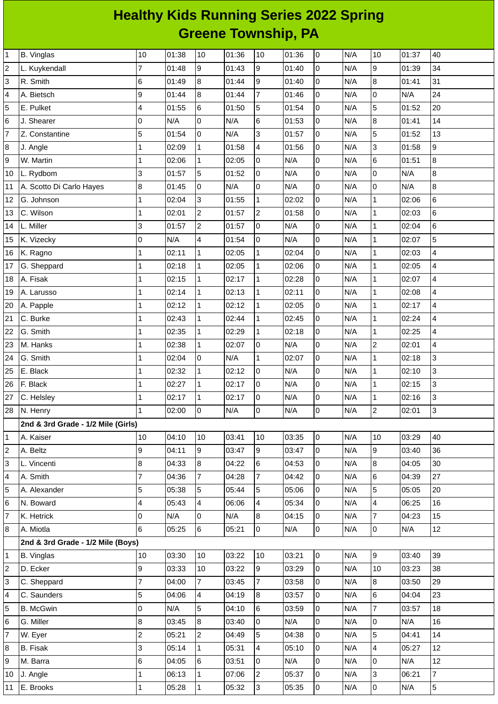## **Healthy Kids Running Series 2022 Spring Greene Township, PA**

| $\mathbf 1$     | <b>B.</b> Vinglas                  | 10             | 01:38 | 10             | 01:36 | 10             | 01:36 | $\overline{0}$      | N/A | 10                       | 01:37 | 40             |
|-----------------|------------------------------------|----------------|-------|----------------|-------|----------------|-------|---------------------|-----|--------------------------|-------|----------------|
| $\overline{c}$  | L. Kuykendall                      | 7              | 01:48 | 9              | 01:43 | 9              | 01:40 | $\overline{0}$      | N/A | 9                        | 01:39 | 34             |
| 3               | R. Smith                           | 6              | 01:49 | 8              | 01:44 | 9              | 01:40 | 0                   | N/A | $\bf{8}$                 | 01:41 | 31             |
| $\overline{a}$  | A. Bietsch                         | 9              | 01:44 | 8              | 01:44 | $\overline{7}$ | 01:46 | 0                   | N/A | $\mathsf 0$              | N/A   | 24             |
| 5               | E. Pulket                          | $\overline{4}$ | 01:55 | $\,6$          | 01:50 | 5              | 01:54 | $\mathsf 0$         | N/A | 5                        | 01:52 | 20             |
| $6\phantom{.}6$ | J. Shearer                         | 0              | N/A   | 0              | N/A   | 6              | 01:53 | $\mathsf 0$         | N/A | $\bf{8}$                 | 01:41 | 14             |
| $\overline{7}$  | Z. Constantine                     | 5              | 01:54 | $\overline{0}$ | N/A   | 3              | 01:57 | 0                   | N/A | $\overline{5}$           | 01:52 | 13             |
| $\bf 8$         | J. Angle                           | $\mathbf{1}$   | 02:09 | $\mathbf 1$    | 01:58 | 4              | 01:56 | 0                   | N/A | 3                        | 01:58 | 9              |
| 9               | W. Martin                          | $\overline{1}$ | 02:06 | $\mathbf{1}$   | 02:05 | $\overline{0}$ | N/A   | $\mathsf 0$         | N/A | $6\phantom{a}$           | 01:51 | $\bf{8}$       |
| 10              | L. Rydbom                          | 3              | 01:57 | 5              | 01:52 | $\overline{0}$ | N/A   | 0                   | N/A | $\mathsf 0$              | N/A   | 8              |
| 11              | A. Scotto Di Carlo Hayes           | 8              | 01:45 | 0              | N/A   | $\overline{0}$ | N/A   | 0                   | N/A | $\mathsf 0$              | N/A   | 8              |
| 12              | G. Johnson                         | $\mathbf{1}$   | 02:04 | 3              | 01:55 | $\mathbf 1$    | 02:02 | $\mathsf{O}\xspace$ | N/A | $\mathbf{1}$             | 02:06 | $\,6$          |
| 13              | C. Wilson                          | $\mathbf{1}$   | 02:01 | $\overline{c}$ | 01:57 | $\overline{c}$ | 01:58 | 0                   | N/A | $\mathbf{1}$             | 02:03 | 6              |
| 14              | L. Miller                          | 3              | 01:57 | $\overline{c}$ | 01:57 | $\overline{0}$ | N/A   | $\mathsf 0$         | N/A | $\mathbf{1}$             | 02:04 | 6              |
| 15              | K. Vizecky                         | 0              | N/A   | 4              | 01:54 | $\overline{0}$ | N/A   | $\mathsf 0$         | N/A | $\mathbf{1}$             | 02:07 | 5              |
| 16              | K. Ragno                           | $\mathbf{1}$   | 02:11 | $\mathbf 1$    | 02:05 | $\mathbf{1}$   | 02:04 | $\overline{0}$      | N/A | $\mathbf 1$              | 02:03 | 4              |
| 17              | G. Sheppard                        | $\overline{1}$ | 02:18 | $\mathbf{1}$   | 02:05 | $\mathbf 1$    | 02:06 | $\mathsf 0$         | N/A | $\mathbf{1}$             | 02:05 | 4              |
| 18              | A. Fisak                           | 1              | 02:15 | $\mathbf{1}$   | 02:17 | $\mathbf 1$    | 02:28 | $\mathsf 0$         | N/A | $\mathbf{1}$             | 02:07 | 4              |
| 19              | A. Larusso                         | $\mathbf{1}$   | 02:14 | 1              | 02:13 | $\mathbf{1}$   | 02:11 | 0                   | N/A | $\mathbf{1}$             | 02:08 | 4              |
| 20              | A. Papple                          | $\mathbf{1}$   | 02:12 | $\mathbf 1$    | 02:12 | $\mathbf 1$    | 02:05 | $\mathsf 0$         | N/A | $\mathbf{1}$             | 02:17 | 4              |
| 21              | C. Burke                           | 1              | 02:43 | $\mathbf{1}$   | 02:44 | $\mathbf 1$    | 02:45 | 0                   | N/A | $\mathbf{1}$             | 02:24 | 4              |
| 22              | G. Smith                           | 1              | 02:35 | $\mathbf{1}$   | 02:29 | $\mathbf{1}$   | 02:18 | $\mathsf 0$         | N/A | $\mathbf{1}$             | 02:25 | 4              |
| 23              | M. Hanks                           | $\overline{1}$ | 02:38 | $\mathbf{1}$   | 02:07 | 0              | N/A   | 0                   | N/A | $\overline{c}$           | 02:01 | 4              |
| 24              | G. Smith                           | 1              | 02:04 | $\overline{0}$ | N/A   | $\mathbf{1}$   | 02:07 | $\overline{0}$      | N/A | $\mathbf 1$              | 02:18 | 3              |
| 25              | E. Black                           | $\overline{1}$ | 02:32 | $\mathbf{1}$   | 02:12 | $\overline{0}$ | N/A   | $\mathsf 0$         | N/A | $\mathbf{1}$             | 02:10 | 3              |
| 26              | F. Black                           | 1              | 02:27 | $\mathbf 1$    | 02:17 | $\overline{0}$ | N/A   | $\mathsf 0$         | N/A | $\mathbf{1}$             | 02:15 | 3              |
| 27              | C. Helsley                         | $\mathbf{1}$   | 02:17 | $\mathbf{1}$   | 02:17 | $\overline{0}$ | N/A   | 0                   | N/A | $\mathbf 1$              | 02:16 | 3              |
| 28              | N. Henry                           | $\mathbf{1}$   | 02:00 | $\mathsf{O}$   | N/A   | 0              | N/A   | $\mathsf 0$         | N/A | $\overline{c}$           | 02:01 | 3              |
|                 | 2nd & 3rd Grade - 1/2 Mile (Girls) |                |       |                |       |                |       |                     |     |                          |       |                |
| $\mathbf{1}$    | A. Kaiser                          | 10             | 04:10 | 10             | 03:41 | 10             | 03:35 | $\overline{0}$      | N/A | 10                       | 03:29 | 40             |
| $\overline{c}$  | A. Beltz                           | 9              | 04:11 | 9              | 03:47 | 9              | 03:47 | 0                   | N/A | 9                        | 03:40 | 36             |
| 3               | L. Vincenti                        | 8              | 04:33 | 8              | 04:22 | 6              | 04:53 | 0                   | N/A | $\, 8$                   | 04:05 | 30             |
| $\sqrt{4}$      | A. Smith                           | $\overline{7}$ | 04:36 | $\overline{7}$ | 04:28 | $\overline{7}$ | 04:42 | 0                   | N/A | $6\phantom{a}$           | 04:39 | 27             |
| 5               | A. Alexander                       | 5              | 05:38 | 5              | 05:44 | 5              | 05:06 | 0                   | N/A | 5                        | 05:05 | 20             |
| $\,$ 6          | N. Boward                          | 4              | 05:43 | 4              | 06:06 | 4              | 05:34 | 0                   | N/A | $\overline{\mathcal{L}}$ | 06:25 | 16             |
| $\overline{7}$  | K. Hetrick                         | 0              | N/A   | 0              | N/A   | 8              | 04:15 | $\mathsf 0$         | N/A | $\overline{7}$           | 04:23 | 15             |
| 8               | A. Miotla                          | 6              | 05:25 | 6              | 05:21 | $\overline{0}$ | N/A   | $\overline{0}$      | N/A | $\overline{0}$           | N/A   | 12             |
|                 | 2nd & 3rd Grade - 1/2 Mile (Boys)  |                |       |                |       |                |       |                     |     |                          |       |                |
| $\mathbf{1}$    | <b>B.</b> Vinglas                  | 10             | 03:30 | 10             | 03:22 | 10             | 03:21 | $\overline{0}$      | N/A | l9                       | 03:40 | 39             |
| $\overline{c}$  | D. Ecker                           | 9              | 03:33 | 10             | 03:22 | 9              | 03:29 | 0                   | N/A | 10                       | 03:23 | 38             |
| 3               | C. Sheppard                        | $\overline{7}$ | 04:00 | $\overline{7}$ | 03:45 | $\overline{7}$ | 03:58 | 0                   | N/A | $\overline{8}$           | 03:50 | 29             |
| $\overline{4}$  | C. Saunders                        | 5              | 04:06 | $\overline{4}$ | 04:19 | $\overline{8}$ | 03:57 | 0                   | N/A | $\,6$                    | 04:04 | 23             |
| 5               | <b>B.</b> McGwin                   | 0              | N/A   | 5              | 04:10 | 6              | 03:59 | 0                   | N/A | $\overline{7}$           | 03:57 | 18             |
| $\,$ 6          | G. Miller                          | 8              | 03:45 | 8              | 03:40 | $\overline{0}$ | N/A   | 0                   | N/A | $\mathsf 0$              | N/A   | 16             |
| $\overline{7}$  | W. Eyer                            | $\overline{c}$ | 05:21 | $\overline{2}$ | 04:49 | 5              | 04:38 | 0                   | N/A | 5                        | 04:41 | 14             |
| $\bf{8}$        | <b>B.</b> Fisak                    | 3              | 05:14 | $\mathbf{1}$   | 05:31 | 4              | 05:10 | 0                   | N/A | $\overline{\mathcal{L}}$ | 05:27 | 12             |
| 9               | M. Barra                           | $\,$ 6         | 04:05 | 6              | 03:51 | $\overline{0}$ | N/A   | 0                   | N/A | $\mathsf 0$              | N/A   | 12             |
| 10              | J. Angle                           | 1              | 06:13 | $\mathbf{1}$   | 07:06 | $\overline{2}$ | 05:37 | $\overline{0}$      | N/A | $\overline{3}$           | 06:21 | $\overline{7}$ |
| 11              | E. Brooks                          | 1              | 05:28 | 1              | 05:32 | $\overline{3}$ | 05:35 | $\overline{0}$      | N/A | $\overline{0}$           | N/A   | 5              |
|                 |                                    |                |       |                |       |                |       |                     |     |                          |       |                |